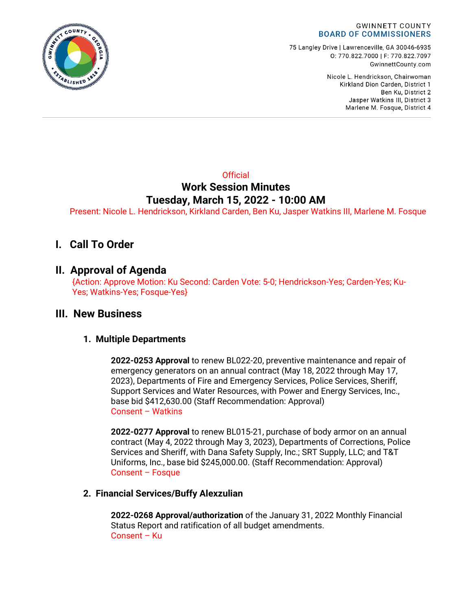

75 Langley Drive | Lawrenceville, GA 30046-6935 0:770.822.7000 | F: 770.822.7097 GwinnettCounty.com

> Nicole L. Hendrickson, Chairwoman Kirkland Dion Carden, District 1 Ben Ku. District 2 Jasper Watkins III, District 3 Marlene M. Fosque, District 4

## **Official Work Session Minutes Tuesday, March 15, 2022 - 10:00 AM**

Present: Nicole L. Hendrickson, Kirkland Carden, Ben Ku, Jasper Watkins III, Marlene M. Fosque

# **I. Call To Order**

## **II. Approval of Agenda**

{Action: Approve Motion: Ku Second: Carden Vote: 5-0; Hendrickson-Yes; Carden-Yes; Ku-Yes; Watkins-Yes; Fosque-Yes}

### **III. New Business**

### **1. Multiple Departments**

**2022-0253 Approval** to renew BL022-20, preventive maintenance and repair of emergency generators on an annual contract (May 18, 2022 through May 17, 2023), Departments of Fire and Emergency Services, Police Services, Sheriff, Support Services and Water Resources, with Power and Energy Services, Inc., base bid \$412,630.00 (Staff Recommendation: Approval) Consent – Watkins

**2022-0277 Approval** to renew BL015-21, purchase of body armor on an annual contract (May 4, 2022 through May 3, 2023), Departments of Corrections, Police Services and Sheriff, with Dana Safety Supply, Inc.; SRT Supply, LLC; and T&T Uniforms, Inc., base bid \$245,000.00. (Staff Recommendation: Approval) Consent – Fosque

### **2. Financial Services/Buffy Alexzulian**

**2022-0268 Approval/authorization** of the January 31, 2022 Monthly Financial Status Report and ratification of all budget amendments. Consent – Ku

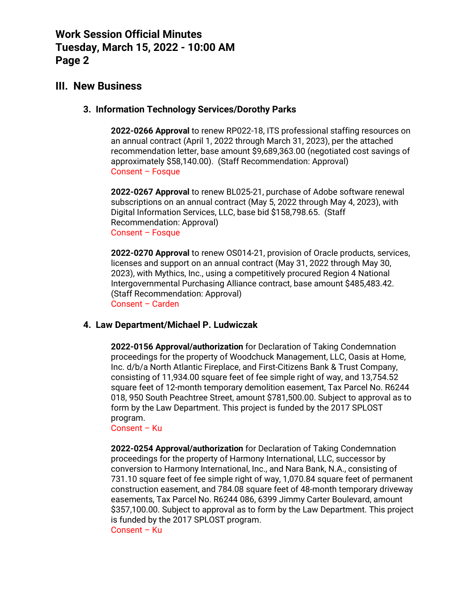### **III. New Business**

#### **3. Information Technology Services/Dorothy Parks**

**2022-0266 Approval** to renew RP022-18, ITS professional staffing resources on an annual contract (April 1, 2022 through March 31, 2023), per the attached recommendation letter, base amount \$9,689,363.00 (negotiated cost savings of approximately \$58,140.00). (Staff Recommendation: Approval) Consent – Fosque

**2022-0267 Approval** to renew BL025-21, purchase of Adobe software renewal subscriptions on an annual contract (May 5, 2022 through May 4, 2023), with Digital Information Services, LLC, base bid \$158,798.65. (Staff Recommendation: Approval) Consent – Fosque

**2022-0270 Approval** to renew OS014-21, provision of Oracle products, services, licenses and support on an annual contract (May 31, 2022 through May 30, 2023), with Mythics, Inc., using a competitively procured Region 4 National Intergovernmental Purchasing Alliance contract, base amount \$485,483.42. (Staff Recommendation: Approval) Consent – Carden

#### **4. Law Department/Michael P. Ludwiczak**

**2022-0156 Approval/authorization** for Declaration of Taking Condemnation proceedings for the property of Woodchuck Management, LLC, Oasis at Home, Inc. d/b/a North Atlantic Fireplace, and First-Citizens Bank & Trust Company, consisting of 11,934.00 square feet of fee simple right of way, and 13,754.52 square feet of 12-month temporary demolition easement, Tax Parcel No. R6244 018, 950 South Peachtree Street, amount \$781,500.00. Subject to approval as to form by the Law Department. This project is funded by the 2017 SPLOST program.

Consent – Ku

**2022-0254 Approval/authorization** for Declaration of Taking Condemnation proceedings for the property of Harmony International, LLC, successor by conversion to Harmony International, Inc., and Nara Bank, N.A., consisting of 731.10 square feet of fee simple right of way, 1,070.84 square feet of permanent construction easement, and 784.08 square feet of 48-month temporary driveway easements, Tax Parcel No. R6244 086, 6399 Jimmy Carter Boulevard, amount \$357,100.00. Subject to approval as to form by the Law Department. This project is funded by the 2017 SPLOST program. Consent – Ku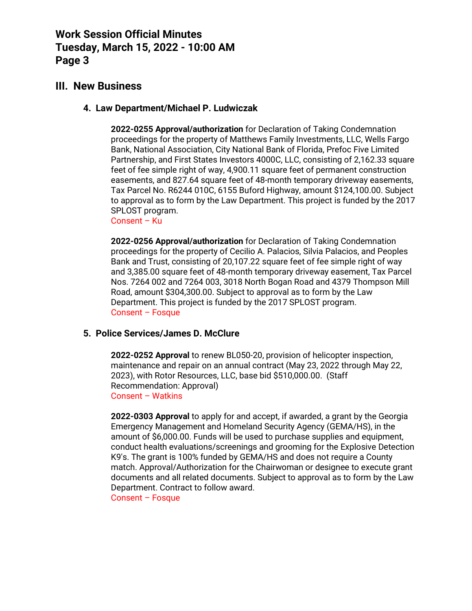### **III. New Business**

#### **4. Law Department/Michael P. Ludwiczak**

**2022-0255 Approval/authorization** for Declaration of Taking Condemnation proceedings for the property of Matthews Family Investments, LLC, Wells Fargo Bank, National Association, City National Bank of Florida, Prefoc Five Limited Partnership, and First States Investors 4000C, LLC, consisting of 2,162.33 square feet of fee simple right of way, 4,900.11 square feet of permanent construction easements, and 827.64 square feet of 48-month temporary driveway easements, Tax Parcel No. R6244 010C, 6155 Buford Highway, amount \$124,100.00. Subject to approval as to form by the Law Department. This project is funded by the 2017 SPLOST program.

Consent – Ku

**2022-0256 Approval/authorization** for Declaration of Taking Condemnation proceedings for the property of Cecilio A. Palacios, Silvia Palacios, and Peoples Bank and Trust, consisting of 20,107.22 square feet of fee simple right of way and 3,385.00 square feet of 48-month temporary driveway easement, Tax Parcel Nos. 7264 002 and 7264 003, 3018 North Bogan Road and 4379 Thompson Mill Road, amount \$304,300.00. Subject to approval as to form by the Law Department. This project is funded by the 2017 SPLOST program. Consent – Fosque

#### **5. Police Services/James D. McClure**

**2022-0252 Approval** to renew BL050-20, provision of helicopter inspection, maintenance and repair on an annual contract (May 23, 2022 through May 22, 2023), with Rotor Resources, LLC, base bid \$510,000.00. (Staff Recommendation: Approval) Consent – Watkins

**2022-0303 Approval** to apply for and accept, if awarded, a grant by the Georgia Emergency Management and Homeland Security Agency (GEMA/HS), in the amount of \$6,000.00. Funds will be used to purchase supplies and equipment, conduct health evaluations/screenings and grooming for the Explosive Detection K9's. The grant is 100% funded by GEMA/HS and does not require a County match. Approval/Authorization for the Chairwoman or designee to execute grant documents and all related documents. Subject to approval as to form by the Law Department. Contract to follow award. Consent – Fosque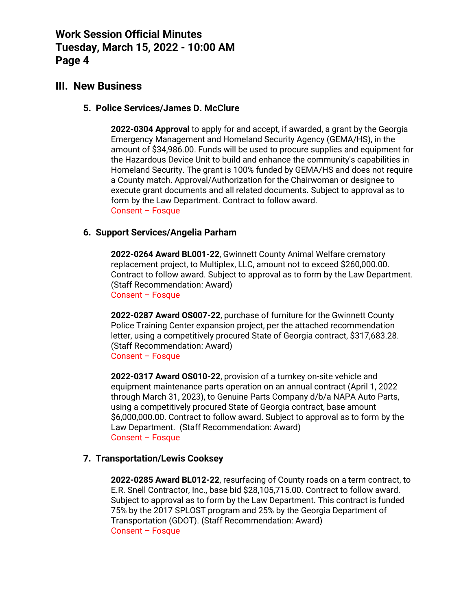## **III. New Business**

#### **5. Police Services/James D. McClure**

**2022-0304 Approval** to apply for and accept, if awarded, a grant by the Georgia Emergency Management and Homeland Security Agency (GEMA/HS), in the amount of \$34,986.00. Funds will be used to procure supplies and equipment for the Hazardous Device Unit to build and enhance the community's capabilities in Homeland Security. The grant is 100% funded by GEMA/HS and does not require a County match. Approval/Authorization for the Chairwoman or designee to execute grant documents and all related documents. Subject to approval as to form by the Law Department. Contract to follow award. Consent – Fosque

### **6. Support Services/Angelia Parham**

**2022-0264 Award BL001-22**, Gwinnett County Animal Welfare crematory replacement project, to Multiplex, LLC, amount not to exceed \$260,000.00. Contract to follow award. Subject to approval as to form by the Law Department. (Staff Recommendation: Award) Consent – Fosque

**2022-0287 Award OS007-22**, purchase of furniture for the Gwinnett County Police Training Center expansion project, per the attached recommendation letter, using a competitively procured State of Georgia contract, \$317,683.28. (Staff Recommendation: Award) Consent – Fosque

**2022-0317 Award OS010-22**, provision of a turnkey on-site vehicle and equipment maintenance parts operation on an annual contract (April 1, 2022 through March 31, 2023), to Genuine Parts Company d/b/a NAPA Auto Parts, using a competitively procured State of Georgia contract, base amount \$6,000,000.00. Contract to follow award. Subject to approval as to form by the Law Department. (Staff Recommendation: Award) Consent – Fosque

### **7. Transportation/Lewis Cooksey**

**2022-0285 Award BL012-22**, resurfacing of County roads on a term contract, to E.R. Snell Contractor, Inc., base bid \$28,105,715.00. Contract to follow award. Subject to approval as to form by the Law Department. This contract is funded 75% by the 2017 SPLOST program and 25% by the Georgia Department of Transportation (GDOT). (Staff Recommendation: Award) Consent – Fosque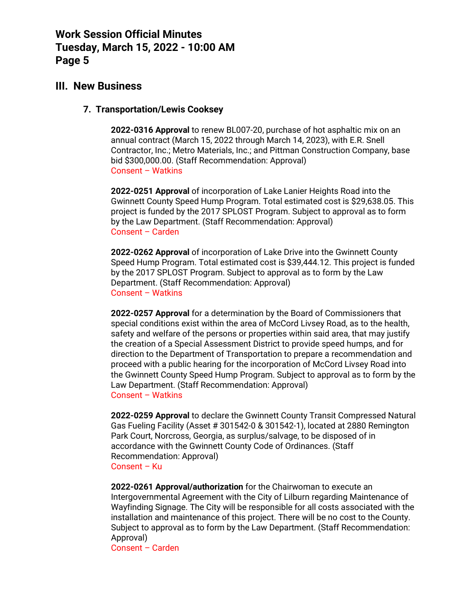### **III. New Business**

#### **7. Transportation/Lewis Cooksey**

**2022-0316 Approval** to renew BL007-20, purchase of hot asphaltic mix on an annual contract (March 15, 2022 through March 14, 2023), with E.R. Snell Contractor, Inc.; Metro Materials, Inc.; and Pittman Construction Company, base bid \$300,000.00. (Staff Recommendation: Approval) Consent – Watkins

**2022-0251 Approval** of incorporation of Lake Lanier Heights Road into the Gwinnett County Speed Hump Program. Total estimated cost is \$29,638.05. This project is funded by the 2017 SPLOST Program. Subject to approval as to form by the Law Department. (Staff Recommendation: Approval) Consent – Carden

**2022-0262 Approval** of incorporation of Lake Drive into the Gwinnett County Speed Hump Program. Total estimated cost is \$39,444.12. This project is funded by the 2017 SPLOST Program. Subject to approval as to form by the Law Department. (Staff Recommendation: Approval) Consent – Watkins

**2022-0257 Approval** for a determination by the Board of Commissioners that special conditions exist within the area of McCord Livsey Road, as to the health, safety and welfare of the persons or properties within said area, that may justify the creation of a Special Assessment District to provide speed humps, and for direction to the Department of Transportation to prepare a recommendation and proceed with a public hearing for the incorporation of McCord Livsey Road into the Gwinnett County Speed Hump Program. Subject to approval as to form by the Law Department. (Staff Recommendation: Approval) Consent – Watkins

**2022-0259 Approval** to declare the Gwinnett County Transit Compressed Natural Gas Fueling Facility (Asset # 301542-0 & 301542-1), located at 2880 Remington Park Court, Norcross, Georgia, as surplus/salvage, to be disposed of in accordance with the Gwinnett County Code of Ordinances. (Staff Recommendation: Approval) Consent – Ku

**2022-0261 Approval/authorization** for the Chairwoman to execute an Intergovernmental Agreement with the City of Lilburn regarding Maintenance of Wayfinding Signage. The City will be responsible for all costs associated with the installation and maintenance of this project. There will be no cost to the County. Subject to approval as to form by the Law Department. (Staff Recommendation: Approval)

Consent – Carden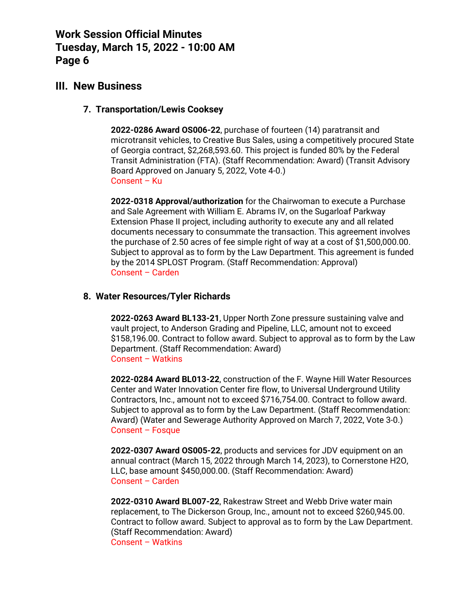## **III. New Business**

#### **7. Transportation/Lewis Cooksey**

**2022-0286 Award OS006-22**, purchase of fourteen (14) paratransit and microtransit vehicles, to Creative Bus Sales, using a competitively procured State of Georgia contract, \$2,268,593.60. This project is funded 80% by the Federal Transit Administration (FTA). (Staff Recommendation: Award) (Transit Advisory Board Approved on January 5, 2022, Vote 4-0.) Consent – Ku

**2022-0318 Approval/authorization** for the Chairwoman to execute a Purchase and Sale Agreement with William E. Abrams IV, on the Sugarloaf Parkway Extension Phase II project, including authority to execute any and all related documents necessary to consummate the transaction. This agreement involves the purchase of 2.50 acres of fee simple right of way at a cost of \$1,500,000.00. Subject to approval as to form by the Law Department. This agreement is funded by the 2014 SPLOST Program. (Staff Recommendation: Approval) Consent – Carden

#### **8. Water Resources/Tyler Richards**

**2022-0263 Award BL133-21**, Upper North Zone pressure sustaining valve and vault project, to Anderson Grading and Pipeline, LLC, amount not to exceed \$158,196.00. Contract to follow award. Subject to approval as to form by the Law Department. (Staff Recommendation: Award) Consent – Watkins

**2022-0284 Award BL013-22**, construction of the F. Wayne Hill Water Resources Center and Water Innovation Center fire flow, to Universal Underground Utility Contractors, Inc., amount not to exceed \$716,754.00. Contract to follow award. Subject to approval as to form by the Law Department. (Staff Recommendation: Award) (Water and Sewerage Authority Approved on March 7, 2022, Vote 3-0.) Consent – Fosque

**2022-0307 Award OS005-22**, products and services for JDV equipment on an annual contract (March 15, 2022 through March 14, 2023), to Cornerstone H2O, LLC, base amount \$450,000.00. (Staff Recommendation: Award) Consent – Carden

**2022-0310 Award BL007-22**, Rakestraw Street and Webb Drive water main replacement, to The Dickerson Group, Inc., amount not to exceed \$260,945.00. Contract to follow award. Subject to approval as to form by the Law Department. (Staff Recommendation: Award) Consent – Watkins